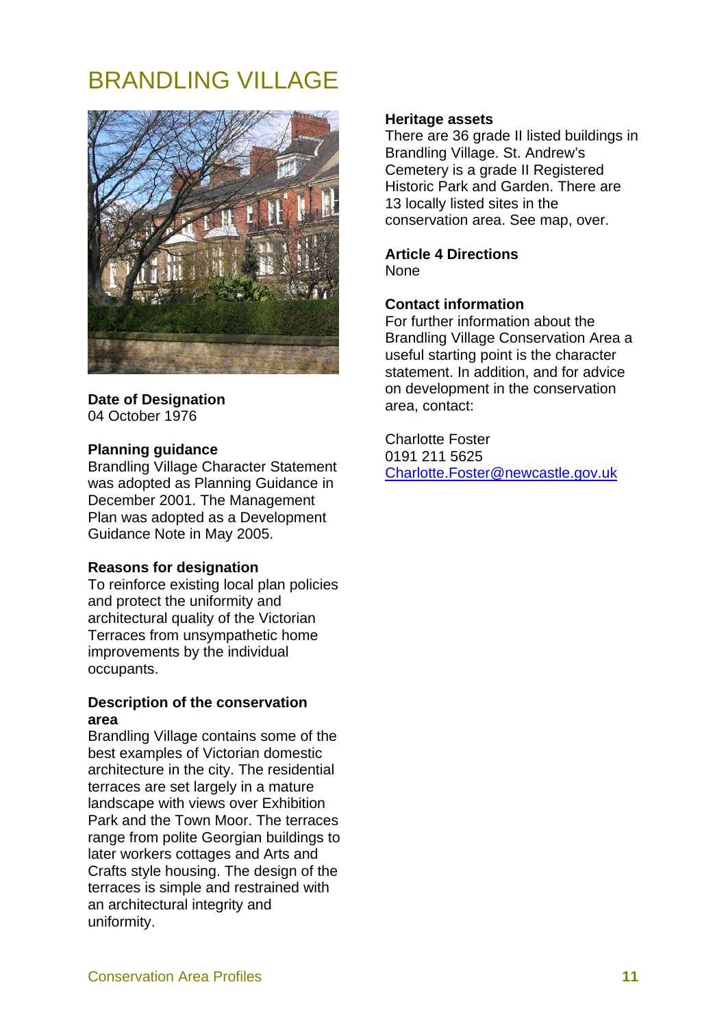# BRANDLING VILLAGE



# **Date of Designation**  04 October 1976

# **Planning guidance**

Brandling Village Character Statement was adopted as Planning Guidance in December 2001. The Management Plan was adopted as a Development Guidance Note in May 2005.

### **Reasons for designation**

To reinforce existing local plan policies and protect the uniformity and architectural quality of the Victorian Terraces from unsympathetic home improvements by the individual occupants.

# **Description of the conservation area**

Brandling Village contains some of the best examples of Victorian domestic architecture in the city. The residential terraces are set largely in a mature landscape with views over Exhibition Park and the Town Moor. The terraces range from polite Georgian buildings to later workers cottages and Arts and Crafts style housing. The design of the terraces is simple and restrained with an architectural integrity and uniformity.

## **Heritage assets**

There are 36 grade II listed buildings in Brandling Village. St. Andrew's Cemetery is a grade II Registered Historic Park and Garden. There are 13 locally listed sites in the conservation area. See map, over.

#### **Article 4 Directions None**

# **Contact information**

For further information about the Brandling Village Conservation Area a useful starting point is the character statement. In addition, and for advice on development in the conservation area, contact:

Charlotte Foster 0191 211 5625 Charlotte.Foster@newcastle.gov.uk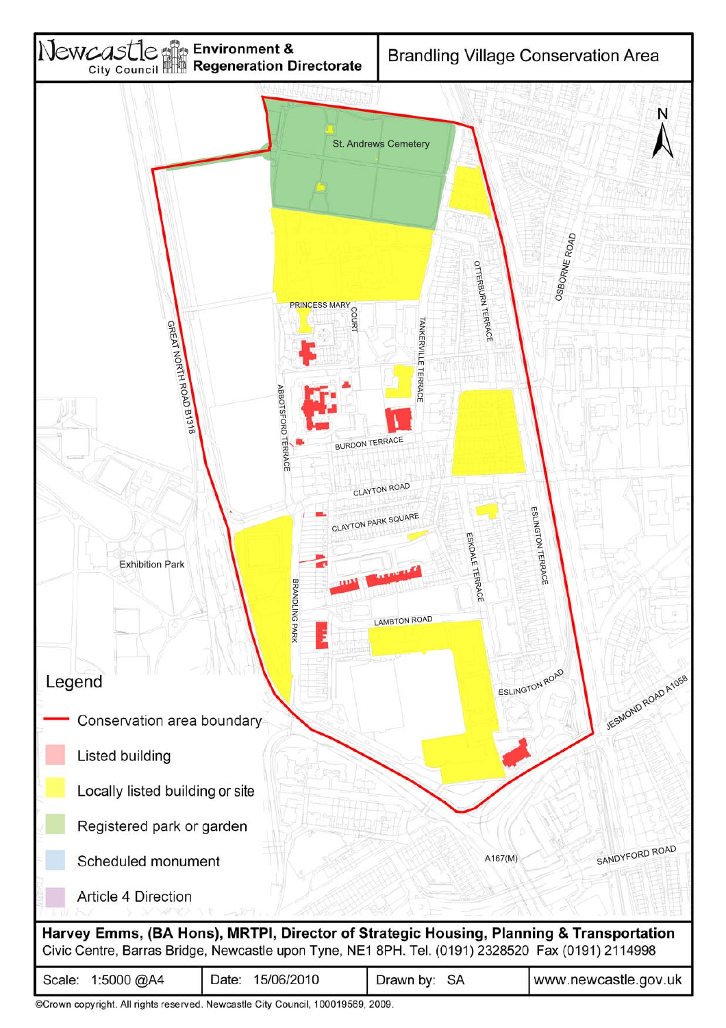

| 1:5000 @A4 | 15/06/2010 | SA        | www.newcastle.gov.uk |
|------------|------------|-----------|----------------------|
| Scale:     | Date:      | Drawn by: |                      |

©Crown copyright. All rights reserved. Newcastle City Council, 100019569, 2009.